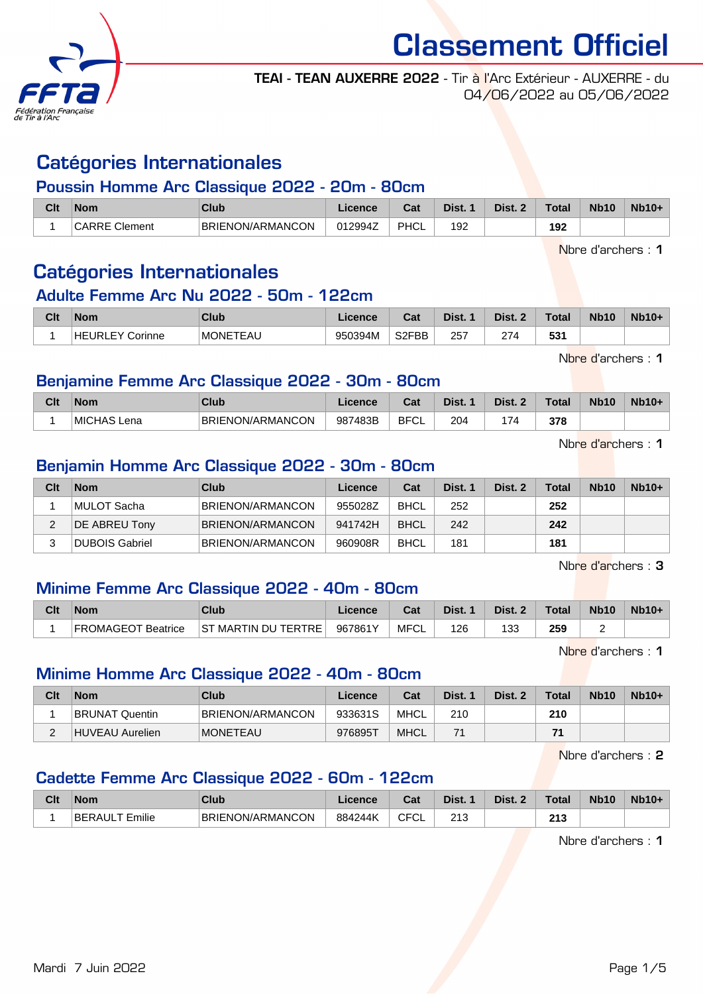

TEAI - TEAN AUXERRE 2022 - Tir à l'Arc Extérieur - AUXERRE - du 04/06/2022 au 05/06/2022

### Catégories Internationales

#### Poussin Homme Arc Classique 2022 - 20m - 80cm

| Clt | Nom                                 | Club                          | icence  | ่กื้อ≰<br>uai | Dist. | Dist. | <b>Total</b> | <b>Nb10</b> | $Nb10+$ |
|-----|-------------------------------------|-------------------------------|---------|---------------|-------|-------|--------------|-------------|---------|
|     | <b>'RRE Clement</b><br><b>CARRE</b> | ION/ARMANCON<br><b>BRIENC</b> | 012994Z | <b>PHCL</b>   | 192   |       | 192          |             |         |

Nbre d'archers : 1

### Catégories Internationales

#### Adulte Femme Arc Nu 2022 - 50m - 122cm

| Clt | Nom                       | Club             | Licence | <b>Pot</b><br>⊍⊿ | Dist. | Dist. | Total     | <b>Nb10</b> | <b>Nb10+</b> |
|-----|---------------------------|------------------|---------|------------------|-------|-------|-----------|-------------|--------------|
|     | <b>HEURLEY</b><br>Corinne | <b>IMONETEAU</b> | 950394M | S2FBB            | 257   | 274   | ビウィ<br>აა |             |              |

Nhre d'archers : 1

#### Benjamine Femme Arc Classique 2022 - 30m - 80cm

| Clf | Nom                | Club             | Licence | $R - 1$<br>⊌a | Dist. | Dist.                    | Total | <b>Nb10</b> | $Nb10+$ |
|-----|--------------------|------------------|---------|---------------|-------|--------------------------|-------|-------------|---------|
|     | <b>MICHAS Lena</b> | BRIENON/ARMANCON | 987483B | <b>BFCL</b>   | 204   | $\overline{\phantom{a}}$ | 378   |             |         |

Nbre d'archers : 1

#### Benjamin Homme Arc Classique 2022 - 30m - 80cm

| Clt | <b>Nom</b>     | Club                    | Licence | Cat         | Dist. 1 | Dist. 2 | <b>Total</b> | <b>Nb10</b> | $Nb10+$ |
|-----|----------------|-------------------------|---------|-------------|---------|---------|--------------|-------------|---------|
|     | ⊺MULOT Sacha   | <b>BRIENON/ARMANCON</b> | 955028Z | <b>BHCL</b> | 252     |         | 252          |             |         |
|     | DE ABREU Tony  | <b>BRIENON/ARMANCON</b> | 941742H | <b>BHCL</b> | 242     |         | 242          |             |         |
|     | DUBOIS Gabriel | <b>BRIENON/ARMANCON</b> | 960908R | <b>BHCL</b> | 181     |         | 181          |             |         |

Nbre d'archers : 3

#### Minime Femme Arc Classique 2022 - 40m - 80cm

| Clt | <b>Nom</b>                | Club                       |         | ו ה<br>⊍ل | Dist. | Dist. 2 | <b>Total</b> | <b>Nb10</b> | $Nb10+$ |
|-----|---------------------------|----------------------------|---------|-----------|-------|---------|--------------|-------------|---------|
|     | <b>FROMAGEOT Beatrice</b> | <b>ST MARTIN DU TERTRE</b> | 967861Y | MFCL      | 126   | 133     | 259          |             |         |

Nbre d'archers : 1

#### Minime Homme Arc Classique 2022 - 40m - 80cm

| Clt | <b>Nom</b>            | Club             | Licence | Cat         | Dist. 1 | Dist. 2 | Total | <b>Nb10</b> | $Nb10+$ |
|-----|-----------------------|------------------|---------|-------------|---------|---------|-------|-------------|---------|
|     | <b>BRUNAT Quentin</b> | BRIENON/ARMANCON | 933631S | MHCL        | 210     |         | 210   |             |         |
|     | HUVEAU Aurelien       | <b>IMONETEAU</b> | 9768957 | <b>MHCL</b> |         |         | 74    |             |         |

Nbre d'archers : 2

#### Cadette Femme Arc Classique 2022 - 60m - 122cm

| Clt | <b>Nom</b>             | Club             | Licence | ∩~'<br>⊍aι    | Dist.        | <b>Dist.</b> | Total        | <b>Nb10</b> | $Nb10+$ |
|-----|------------------------|------------------|---------|---------------|--------------|--------------|--------------|-------------|---------|
|     | <br>'BERAUL'<br>Emilie | BRIENON/ARMANCON | 884244K | --<br>◡<br>◡∟ | 240<br>2 I J |              | 245<br>2 I J |             |         |

Nbre d'archers : 1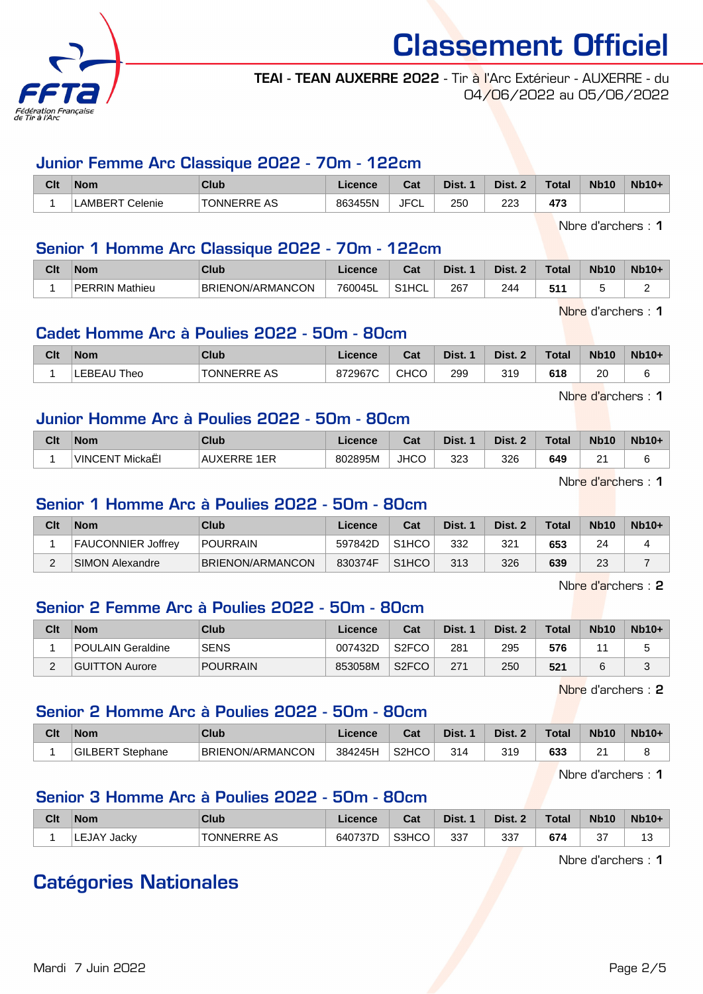

#### TEAI - TEAN AUXERRE 2022 - Tir à l'Arc Extérieur - AUXERRE - du 04/06/2022 au 05/06/2022

#### Junior Femme Arc Classique 2022 - 70m - 122cm

| Clt | <b>Nom</b>      | Club               | Licence | <b>Cost</b><br>val | Dist. | Dist.                                      | <b>Total</b> | <b>Nb10</b> | <b>Nb10+</b> |
|-----|-----------------|--------------------|---------|--------------------|-------|--------------------------------------------|--------------|-------------|--------------|
|     | _AMBERT Celenie | <b>TONNERRE AS</b> | 863455N | <b>JFCL</b>        | 25C   | 223<br>the contract of the contract of the | 473          |             |              |

Nbre d'archers : 1

#### Senior 1 Homme Arc Classique 2022 - 70m - 122cm

| Clt | <b>Nom</b>                 | Club             | ence:   | $R_{\alpha}$<br>ual     | <b>Dist.</b> | Dist. | Total       | <b>Nb10</b> | <b>Nb10-</b> |
|-----|----------------------------|------------------|---------|-------------------------|--------------|-------|-------------|-------------|--------------|
|     | <b>PERRIN</b><br>' Mathieu | BRIENON/ARMANCON | 760045L | $S$ <sub>1</sub> $\cup$ | 267<br>__    | 244   | 544<br>ູ ບຸ | s.          | -<br>-       |

Nbre d'archers : 1

#### Cadet Homme Arc à Poulies 2022 - 50m - 80cm

| Clt | <b>Nom</b>  | Club        | <b>Licence</b> | Col<br>val | Dist. | Dist.<br>$\sim$ | Total | <b>Nb10</b> | <b>Nb10+</b> |
|-----|-------------|-------------|----------------|------------|-------|-----------------|-------|-------------|--------------|
|     | LEBEAU Theo | TONNERRE AS | 872967C        | снсс       | 299   | 319             | 618   | 20          |              |

Nbre d'archers : 1

#### Junior Homme Arc à Poulies 2022 - 50m - 80cm

| Clt | <b>Nom</b>                 | <b>Club</b>      | Licence | <b>That</b><br>ખ્વા | Dist. | Dist. | Total | <b>Nb10</b>     | <b>Nb10+</b> |
|-----|----------------------------|------------------|---------|---------------------|-------|-------|-------|-----------------|--------------|
|     | <b>VINCENT!</b><br>MickaEl | : 1EP<br>AUXERRE | 802895M | <b>JHCO</b>         | 323   | 326   | 649   | n.<br><u>. </u> |              |

Nbre d'archers : 1

#### Senior 1 Homme Arc à Poulies 2022 - 50m - 80cm

| Clt | <b>Nom</b>                | Club             | Licence | Cat                | Dist. 1 | Dist. 2 | Total | <b>Nb10</b> | $Nb10+$ |
|-----|---------------------------|------------------|---------|--------------------|---------|---------|-------|-------------|---------|
|     | <b>FAUCONNIER Joffrey</b> | POURRAIN         | 597842D | S <sub>1</sub> HCO | 332     | 321     | 653   | 24          |         |
| -   | SIMON Alexandre           | BRIENON/ARMANCON | 830374F | S <sub>1</sub> HCO | 313     | 326     | 639   | 23          |         |

Nbre d'archers : 2

#### Senior 2 Femme Arc à Poulies 2022 - 50m - 80cm

| Clt | <b>Nom</b>        | Club        | Licence | Cat                | Dist. 1 | Dist. 2 | <b>Total</b> | <b>Nb10</b> | $Nb10+$ |
|-----|-------------------|-------------|---------|--------------------|---------|---------|--------------|-------------|---------|
|     | POULAIN Geraldine | <b>SENS</b> | 007432D | S <sub>2</sub> FCO | 281     | 295     | 576          |             |         |
| -   | GUITTON Aurore    | POURRAIN    | 853058M | S <sub>2</sub> FCO | 271     | 250     | 521          |             |         |

Nbre d'archers : 2

#### Senior 2 Homme Arc à Poulies 2022 - 50m - 80cm

| Clt | <b>Nom</b>                              | Club             | Licence | $R_{\alpha}$<br>va. | Dist. | Dist. | Total | <b>Nb10</b>    | $Nb10+$ |
|-----|-----------------------------------------|------------------|---------|---------------------|-------|-------|-------|----------------|---------|
|     | <b>GILBERT</b><br><sup>-</sup> Stephane | BRIENON/ARMANCON | 384245H | S <sub>2</sub> HCO  | 314   | 319   | 633   | o.<br><u>.</u> |         |

Nbre d'archers : 1

#### Senior 3 Homme Arc à Poulies 2022 - 50m - 80cm

| Clt | <b>Nom</b>     | Club               | Licence | Cat   | Dist. | Dist. 2 | Total | <b>Nb10</b>  | $Nb10+$           |
|-----|----------------|--------------------|---------|-------|-------|---------|-------|--------------|-------------------|
|     | LEJAY<br>Jacky | <b>TONNERRE AS</b> | 640737D | S3HCO | 337   | 337     | 674   | $\sim$<br>ັັ | $\sqrt{2}$<br>ں ו |

Nbre d'archers : 1

## Catégories Nationales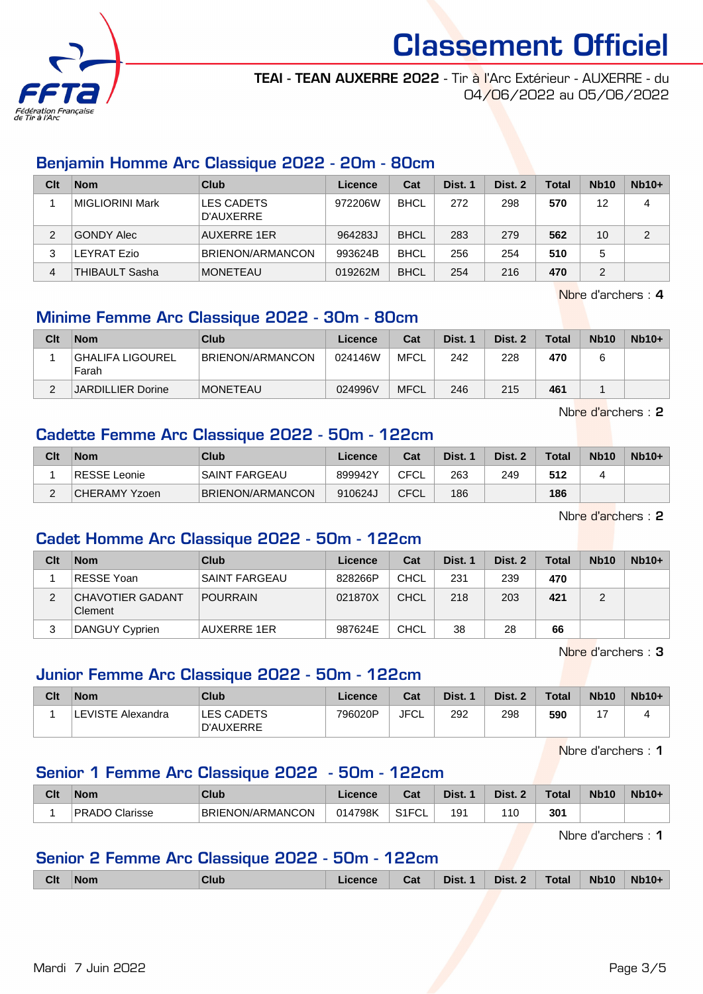

#### TEAI - TEAN AUXERRE 2022 - Tir à l'Arc Extérieur - AUXERRE - du 04/06/2022 au 05/06/2022

#### Benjamin Homme Arc Classique 2022 - 20m - 80cm

| Clt | <b>Nom</b>            | Club                    | Licence | Cat         | Dist. 1 | Dist. 2 | <b>Total</b> | <b>Nb10</b> | $Nb10+$ |
|-----|-----------------------|-------------------------|---------|-------------|---------|---------|--------------|-------------|---------|
|     | MIGLIORINI Mark       | LES CADETS<br>D'AUXERRE | 972206W | <b>BHCL</b> | 272     | 298     | 570          | 12          | 4       |
| 2   | GONDY Alec            | <b>AUXERRE 1ER</b>      | 964283J | <b>BHCL</b> | 283     | 279     | 562          | 10          | 2       |
| 3   | LEYRAT Ezio           | <b>BRIENON/ARMANCON</b> | 993624B | <b>BHCL</b> | 256     | 254     | 510          | 5           |         |
| 4   | <b>THIBAULT Sasha</b> | <b>MONETEAU</b>         | 019262M | <b>BHCL</b> | 254     | 216     | 470          | 2           |         |

Nbre d'archers : 4

#### Minime Femme Arc Classique 2022 - 30m - 80cm

| Clt | <b>Nom</b>                | Club                    | Licence | Cat         | Dist. 1 | Dist. 2 | Total | <b>Nb10</b> | $Nb10+$ |
|-----|---------------------------|-------------------------|---------|-------------|---------|---------|-------|-------------|---------|
|     | GHALIFA LIGOUREL<br>Farah | <b>BRIENON/ARMANCON</b> | 024146W | MFCL        | 242     | 228     | 470   |             |         |
|     | <b>JARDILLIER Dorine</b>  | <b>MONETEAU</b>         | 024996V | <b>MFCL</b> | 246     | 215     | 461   |             |         |

Nbre d'archers : 2

#### Cadette Femme Arc Classique 2022 - 50m - 122cm

| Clt | <b>Nom</b>    | Club             | Licence | Cat         | Dist. | Dist. 2 | <b>Total</b> | <b>Nb10</b> | $Nb10+$ |
|-----|---------------|------------------|---------|-------------|-------|---------|--------------|-------------|---------|
|     | RESSE Leonie  | SAINT FARGEAU    | 899942Y | CFCL        | 263   | 249     | 512          |             |         |
|     | CHERAMY Yzoen | BRIENON/ARMANCON | 910624J | <b>CFCL</b> | 186   |         | 186          |             |         |

Nbre d'archers : 2

#### Cadet Homme Arc Classique 2022 - 50m - 122cm

| Clt | <b>Nom</b>                         | Club               | Licence | Cat         | Dist. 1 | Dist. 2 | <b>Total</b> | <b>Nb10</b> | $Nb10+$ |
|-----|------------------------------------|--------------------|---------|-------------|---------|---------|--------------|-------------|---------|
|     | <b>RESSE Yoan</b>                  | 'SAINT FARGEAU     | 828266P | <b>CHCL</b> | 231     | 239     | 470          |             |         |
| ◠   | <b>CHAVOTIER GADANT</b><br>Clement | <b>POURRAIN</b>    | 021870X | <b>CHCL</b> | 218     | 203     | 421          |             |         |
| 3   | DANGUY Cyprien                     | <b>AUXERRE 1ER</b> | 987624E | <b>CHCL</b> | 38      | 28      | 66           |             |         |

Nbre d'archers : 3

#### Junior Femme Arc Classique 2022 - 50m - 122cm

| Clt | <b>Nom</b>        | Club                    | Licence | Cat         | Dist. 1 | Dist. 2 | Total | <b>Nb10</b> | $Nb10+$ |
|-----|-------------------|-------------------------|---------|-------------|---------|---------|-------|-------------|---------|
|     | LEVISTE Alexandra | LES CADETS<br>D'AUXERRE | 796020P | <b>JFCL</b> | 292     | 298     | 590   |             |         |

Nbre d'archers : 1

#### Senior 1 Femme Arc Classique 2022 - 50m - 122cm

| Clt | <b>Nom</b>                        | <b>Club</b>                  | Licence                            | <b>Cost</b><br>⊍aι                       | Dist. | Nict | Total | <b>Nb10</b> | <b>Nb10+</b> |
|-----|-----------------------------------|------------------------------|------------------------------------|------------------------------------------|-------|------|-------|-------------|--------------|
|     | DD A<br>Clarisse<br>۱n۲<br>. שראי | ON/ARMANCON<br><b>BRIENC</b> | 4798K<br>$\mathcal{D}1\mathcal{L}$ | $\sim$ $\sim$ $\sim$ $\sim$ $\sim$<br>◡∟ | 191   | 110  | 301   |             |              |

Nbre d'archers : 1

#### Senior 2 Femme Arc Classique 2022 - 50m - 122cm

| <b>Clt</b> | <b>Nom</b> | Club | <b>Cence</b> | Cat | Dist. 1 Dist. 2 Total |  | Nb10 Nb10 | Nb10+ |
|------------|------------|------|--------------|-----|-----------------------|--|-----------|-------|
|            |            |      |              |     |                       |  |           |       |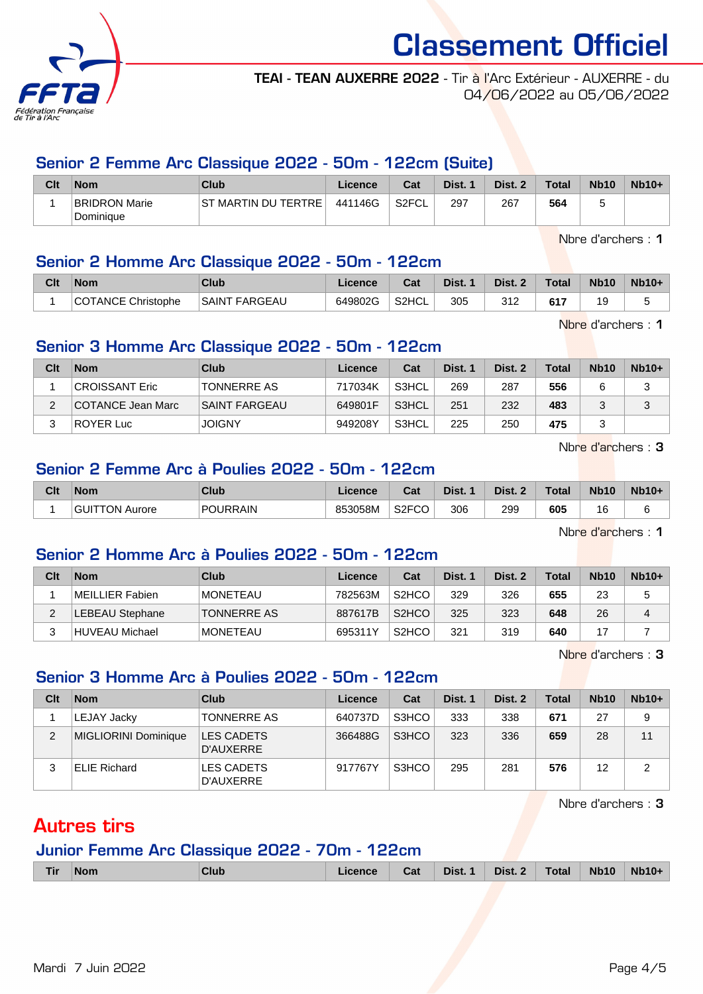

#### TEAI - TEAN AUXERRE 2022 - Tir à l'Arc Extérieur - AUXERRE - du 04/06/2022 au 05/06/2022

#### Senior 2 Femme Arc Classique 2022 - 50m - 122cm (Suite)

| Clt | <b>Nom</b>                        | Club                | Licence | Cat                | Dist. | Dist. 2<br>- 2 | <b>Total</b> | <b>Nb10</b> | $Nb10+$ |
|-----|-----------------------------------|---------------------|---------|--------------------|-------|----------------|--------------|-------------|---------|
|     | <b>BRIDRON Marie</b><br>Dominique | ST MARTIN DU TERTRE | 441146G | S <sub>2</sub> FCL | 297   | 267            | 564          |             |         |

Nbre d'archers : 1

#### Senior 2 Homme Arc Classique 2022 - 50m - 122cm

| Clt | <b>Nom</b>         | Club                 | Licence | <b>Dol</b><br>udl | Dist. | Dist. 2    | <b>Total</b> | <b>Nb10</b> | <b>Nb10+</b> |
|-----|--------------------|----------------------|---------|-------------------|-------|------------|--------------|-------------|--------------|
|     | COTANCE Christophe | <b>SAINT FARGEAU</b> | 649802G | S2HCL             | 305   | つイワ<br>◡⊢∠ | 647          | 19          |              |

Nbre d'archers : 1

#### Senior 3 Homme Arc Classique 2022 - 50m - 122cm

| Clt | <b>Nom</b>        | Club               | Licence | Cat   | Dist. 1 | Dist. 2 | <b>Total</b> | <b>Nb10</b> | $Nb10+$ |
|-----|-------------------|--------------------|---------|-------|---------|---------|--------------|-------------|---------|
|     | CROISSANT Eric    | <b>TONNERRE AS</b> | 717034K | S3HCL | 269     | 287     | 556          |             |         |
| C   | COTANCE Jean Marc | SAINT FARGEAU      | 649801F | S3HCL | 251     | 232     | 483          |             | ◠<br>ت  |
| ົ   | <b>ROYER Luc</b>  | <b>JOIGNY</b>      | 949208Y | S3HCL | 225     | 250     | 475          |             |         |

Nbre d'archers : 3

#### Senior 2 Femme Arc à Poulies 2022 - 50m - 122cm

| Clt | <b>Nom</b>                  | Club            | Licence | Cat                | Dist. | Dist.<br>$\sim$ | Total | <b>Nb10</b>  | <b>Nb10+</b> |
|-----|-----------------------------|-----------------|---------|--------------------|-------|-----------------|-------|--------------|--------------|
|     | GUI<br><b>IITTON Aurore</b> | <b>POURRAIN</b> | 853058M | S <sub>2</sub> FCO | 306   | 299             | 605   | 16<br>$\sim$ |              |

Nbre d'archers : 1

#### Senior 2 Homme Arc à Poulies 2022 - 50m - 122cm

| Clt | <b>Nom</b>      | Club               | Licence | Cat                | Dist. 1 | Dist. 2 | Total | <b>Nb10</b> | $Nb10+$        |
|-----|-----------------|--------------------|---------|--------------------|---------|---------|-------|-------------|----------------|
|     | MEILLIER Fabien | <b>MONETEAU</b>    | 782563M | S <sub>2</sub> HCO | 329     | 326     | 655   | 23          | 5              |
| C   | LEBEAU Stephane | <b>TONNERRE AS</b> | 887617B | S <sub>2</sub> HCO | 325     | 323     | 648   | 26          | $\overline{A}$ |
|     | HUVEAU Michael  | <b>MONETEAU</b>    | 695311Y | S <sub>2</sub> HCO | 321     | 319     | 640   |             |                |

Nbre d'archers : 3

#### Senior 3 Homme Arc à Poulies 2022 - 50m - 122cm

| Clt | <b>Nom</b>           | Club                           | Licence | Cat   | Dist. 1 | Dist. 2 | Total | <b>Nb10</b> | $Nb10+$ |
|-----|----------------------|--------------------------------|---------|-------|---------|---------|-------|-------------|---------|
|     | LEJAY Jacky          | <b>TONNERRE AS</b>             | 640737D | S3HCO | 333     | 338     | 671   | 27          | 9       |
| 2   | MIGLIORINI Dominique | <b>LES CADETS</b><br>D'AUXERRE | 366488G | S3HCO | 323     | 336     | 659   | 28          | 11      |
|     | <b>ELIE Richard</b>  | LES CADETS<br>D'AUXERRE        | 917767Y | S3HCO | 295     | 281     | 576   | 12          | 2       |

Nbre d'archers : 3

### Autres tirs

### Junior Femme Arc Classique 2022 - 70m - 122cm

| <b>Tir</b> | <b>Nom</b> | Club | icence | Cat | Dist. 1 | Dist. 2 | <b>Total</b> | <b>Nb10</b> | Nb <sub>10</sub> |
|------------|------------|------|--------|-----|---------|---------|--------------|-------------|------------------|
|            |            |      |        |     |         |         |              |             |                  |